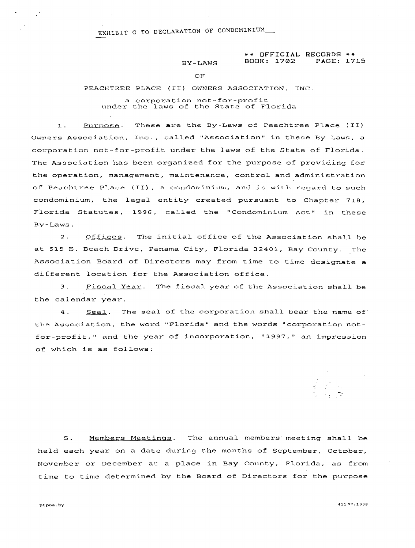# EXHIB EXHIBIT G TO DECLARATION OF CONDOMINION.

### \*\* **OFFICIAL RECORDS** \*\* BOOK: 1702

OF

#### PEACHTREE PLACE **(11)** OWNERS ASSOCIATION, INC.

a corporation not-for-profit under the laws of the State of Florida

1. Purpose. These are the By-Laws of Peachtree Place (II) Owners Association, Inc., called "Association" in these By-Laws, a corporation not-for-profit under the laws of the State of Florida. The Association has been organized for the purpose of providing for the operation, management, maintenance, control and administration of Peachtree Place **(IL),** a condominium, and is with regard to such condominium, the legal entity created pursuant to Chapter **718,**  Florida Statutes, 1996, called the "Condominium Act" in these By-Laws.

2. Offices. The initial office of the Association shall be at 515 E. Beach Drive, Panama City, Florida 32401, Bay County. The Association Board of Directors may from time to time designate a different location for the Association office.

3. Fiscal Year. The fiscal year of the Association shall be the calendar year.

4. Seal. The seal of the corporation shall bear the name of the Association, the word "Florida" and the words "corporation notfor-profit," and the year of incorporation, "1997," an impression of which is as follows:

5. Members Meetinqs. The annual members meeting shall be held each year on a date during the months of September, October, November or December at a place in Bay County, Florida, as from time to time determined by the Board of Directors for the purpose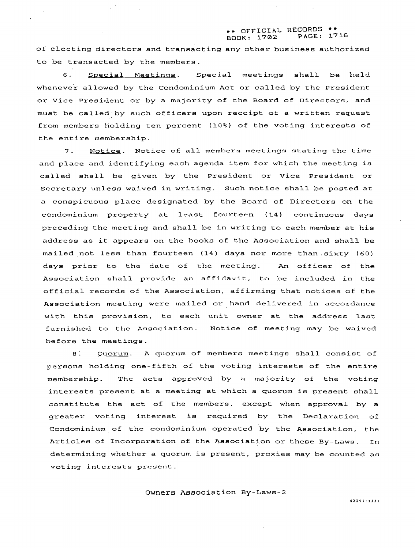### \*\* OFFICIAL RECORDS \*\*<br>BOOK: 1702 PAGE: 1716 BOOK: 1702

of electing directors and transacting any other business authorized to be transacted by the members.

**6.** Special Meetinqs. Special meetings shall be held whenever allowed by the Condominium Act or called by the President or Vice President or by a majority of the Board of Directors, and must be called by such officers upon receipt of a written request from members holding ten percent **(10%)** of the voting interests of the entire membership.

7. Notice. Notice of all members meetings stating the time and place and identifying each agenda item for which the meeting is called shall be given by the President or Vice President or Secretary unless waived in writing. Such notice shall be posted at a conspicuous place designated by the Board of Directors on the condominium property at least fourteen **(14)** continuous days preceding the meeting and shall be in writing to each member at his address as it appears on the books of the Association and shall be mailed not less than fourteen **(14)** days nor more than. sixty **(60)**  days prior to the date of the meeting. An officer of the Association shall provide an affidavit, to be included in the official records of the Association, affirming that notices of the Association meeting were mailed or-hand delivered in accordance with this provision, to each unit owner at the address last furnished to the Association. Notice of meeting may be waived before the meetings.

8. Quorum. **A** quorum of members meetings shall consist of persons holding one-fifth of the voting interests of the entire memberehip. The acte approved by a majority of the voting interests present at a meeting at which a quorum is present shall constitute the act of the members, except when approval by a greater voting interest is required by the Declaration of Condominium of the condominium operated by the Association, the Articles of Incorporation of the Association or these By-Laws. In determining whether a quorum is present, proxies may be counted as voting interests present.

Owners Association By-Laws-2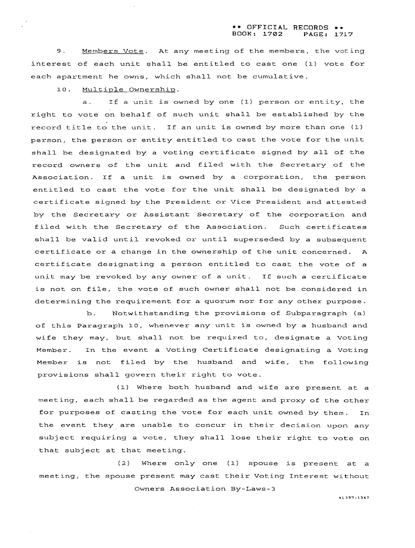#### \*\* **OFFICIAL RECORDS** \*\* **BOOK: 1702 PAGE: 1717**

9. Members Vote. At any meeting of the members, the voting interest of each unit shall be entitled to cast one (1) vote for each apartment he owns, which shall not be cumulative.

10. Multiple Ownership.

a. If a unit is owned by one (1) person or entity, the right to vote on behalf of such unit shall be established by the record title to the unit. If an unit is owned by more than one (1) person, the person or entity entitled to cast the vote for the unit shall be designated by a voting certificate signed by all of the record owners of the unit and filed with the Secretary of the Association. If a unit is owned by a corporation, the person entitled to cast the vote for the unit shall be designated by a certificate signed by the President or Vice President and attested by the Secretary or Assistant Secretary of the corporation and filed with the Secretary of the Association. Such certificates shall be valid until revoked or until superseded by a subsequent certificate or a change in the ownership of the unit concerned. A certificate designating a person entitled to cast the vote of a unit may be revoked by any owner of a unit. If such a certificate is not on file, the vote of such owner shall not be considered in determining the requirement for a quorum nor for any other purpose.

b. Notwithstanding the provisions of Subparagraph (a) of this Paragraph 10, whenever any unit is owned by a husband and wife they may, but shall not be required to, designate a Voting Member. In the event a Voting Certificate designating a Voting Member is not filed by the husband and wife, the following provisions shall govern their right to vote.

**(1)** Where both husband and wife are present at a meeting, each shall be regarded as the agent and proxy of the other for purposes of casting the vote for each unit owned by them. In the event they are unable to concur in their decision upon any subject requiring a vote, they shall lose their right to vote on that subject at that meeting.

(2) Where only one (1) spouse is present at a meeting, the spouse present may cast their Voting Interest without Owners Association By-Laws-3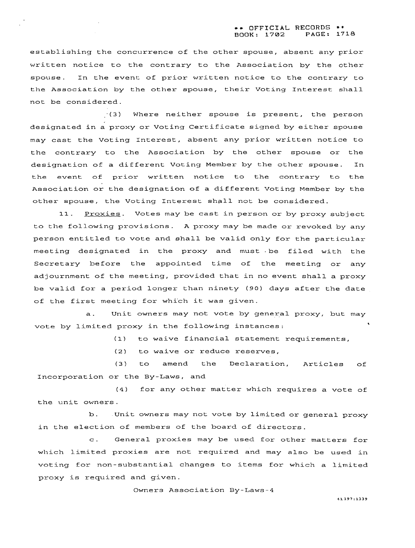establishing the concurrence of the other spouse, absent any prior written notice to the contrary to the Association by the other spouse. In the event of prior written notice to the contrary to the Association by the other spouse, their Voting Interest shall not be considered.

,' **(3** Where neither spouse is present, the person designated in a proxy or Voting Certificate signed by either spouse may cast the Voting Interest, absent any prior written notice to the contrary to the Association by the other spouse or the designation of a different Voting Member by the other spouse. In the event of prior written notice to the contrary to the Association or the designation of a different Voting Member by the other spouse, the Voting Interest shall not be considered.

11. Proxies. Votes may be cast in person or by proxy subject to the following provisions. **A** proxy may be made or revoked by any person entitled to vote and shall be valid only for the particular meeting designated in the proxy and must .be filed with the Secretary before the appointed time of the meeting or any adjournment of the meeting, provided that in no event shall a proxy be valid for a period longer than ninety (90) days after the date of the first meeting for which it was given.

a. Unit owners may not vote by general proxy, but may vote by limited proxy in the following instances:

(1) to waive financial statement requirements,

(2) to waive or reduce reserves,

(3) to amend the Declaration, Articles of Incorporation or the By-Laws, and

**(4)** for any other matter which requires a vote of the unit owners.

b. Unit owners may not vote by limited or general proxy in the election of members of the board of directors.

c. General proxies may be used for other matters for which limited proxies are not required and may also be used in voting for non-substantial changes to items for which a limited proxy is required and given.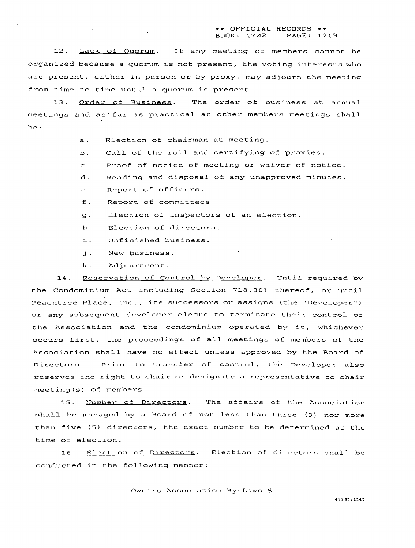#### \*\* OFFICIAL RECORDS \*\*<br>BOOK: 1702 PAGE: 17 BOOK: **1782** PAGE: **1719**

12. Lack of Quorum. If any meeting of members cannot be organized because a quorum is not present, the voting interests who are present, either in person or by proxy, may adjourn the meeting from time to time until a quorum is present.

13. Order of Business. The order of business at annual meetings and as'far as practical at other members meetings shall be :

- a. Election of chairman at meeting.
- b. Call of the roll and certifying of proxies
- c. Proof of notice of meeting or waiver of notice.
- d. Reading and disposal of any unapproved minutes.
- e. Report of officers.
- f. Report of committees
- g. Election of inspectors of an election.
- h. Election of directors.
- i. Unfinished business.
- j. New business.
- **k** . Ad j ournment .

 $\mathcal{L}(\mathcal{A})$ 

14. Reservation of Control by Developer. Until required by the Condominium Act including Section 718.301 thereof, or until Peachtree Place, Inc., its successors or assigns (the "Developer") or any subsequent developer elects to terminate their control of the Association and the condominium operated by it, whichever occurs first, the proceedings of all meetings of members of the Association shall have no effect unless approved by the Board of Directors. Prior to transfer of control, the Developer also reserves the right to chair or designate a representative to chair meeting (s) of members.

15. Number of Directors. The affairs of the Association shall be managed by a Board of not less than three **(3)** nor more than five (5) directors, the exact number to be determined at the time of election.

16. Election of Directors. Election of directors shall be conducted in the following manner: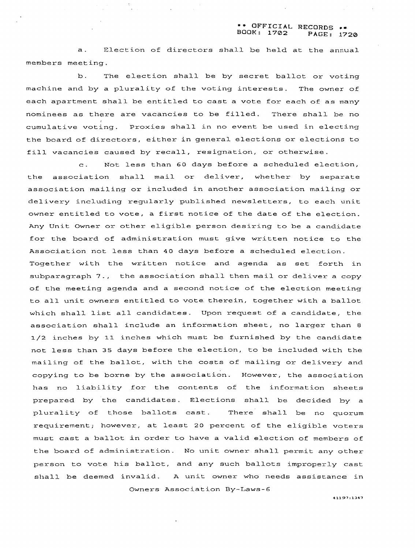### \*\* OFFICIAL RECORDS \*\*<br>BOOK: 1702 PAGE, 17 **BOOK: 1702 PAGE: 1720**

a. Election of directors shall be held at the annual members meeting.

b. The election shall be by secret ballot or voting machine and by a plurality of the voting interests. The owner of each apartment shall be entitled to cast a vote for each of as many nominees as there are vacancies to be filled. There shall be no cumulative voting. Proxies shall in no event be used in electing the board of directors, either in general elections or elections to fill vacancies caused by recall, resignation, or otherwise.

c. Not less than 60 days before a scheduled election, the association shall mail or deliver, whether by separate association mailing or included in another association mailing or delivery including regularly published newsletters, to each unit owner entitled to vote, a first notice of the date of the election. Any Unit Owner or other eligible person desiring to be a candidate for the board of administration must give written notice to the Association not less than 40 days before a scheduled election. Together with the written notice and agenda as set forth in subparagraph 7., the association shall then mail or deliver a copy of the meeting agenda and a second notice of the election meeting to all unit owners entitled to vote. therein, together with a ballot which shall list all candidates. Upon request of a candidate, the association shall include an information sheet, no larger than **8**  1/2 inches by **11** inches which must be furnished by the candidate not less than 35 days before the election, to be included with the mailing of the ballot, with the costs of mailing or delivery and copying to be borne by the association. However, the association has no liability for the contents of the information sheets prepared by the candidates. Elections shall be decided by a plurality of those ballots cast. There shall be no quorum requirement; however, at least 20 percent of the eligible voters must cast a hallot in order to have a valid election of members of the board of administration. No unit owner shall permit any other person to vote his ballot, and any such ballots improperly cast shall be deemed invalid. A unit owner who needs assistance in

Owners Association By-Laws-6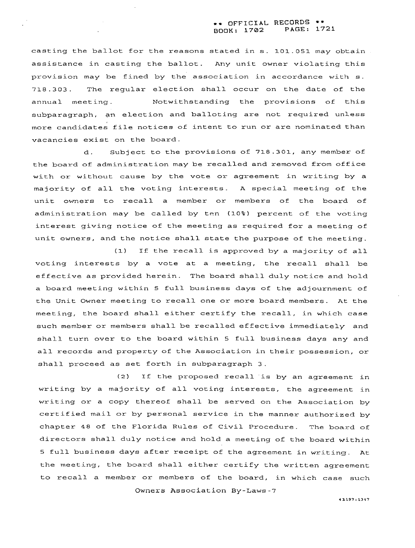### \*\* **OFFICIAL RECORDS** \*\* **BOOK: 1702 PAGE: 1721**

casting the ballot for the reasons stated in s. **101.051** may obtain assistance in casting the ballot. Any unit owner violating this provision may be fined by the association in accordance with s. 718.303. The regular election shall occur on the date of the annual meeting. Notwithstanding the provisions of this subparagraph, an election and balloting are not required unless more candidates file notices of intent to run or are nominated than vacancies exist on the board.

d. Subject to the provisions of **718.301,** any member of the board of administration may be recalled and removed from office with or without cause by the vote or agreement in writing by a majority of all the voting interests. A special meeting of the unit owners to recall a member or members of the board of administration may be called by ten **(10%)** percent of the voting interest giving notice of the meeting as required for a meeting of unit owners, and the notice shall state the purpose of the meeting.

**(1) If** the recall is approved by a majority of all voting interests by a vote at a meeting, the recall shall be effective as provided herein. The board shall duly notice and hold a board meeting within 5 full business days of the adjournment of the Unit Owner meeting to recall one or more board members. At the meeting, the board shall either certify the recall, in which case such member or members shall be recalled effective immediately and shall turn over to the board within **5** full business days any and all records and property of the Association in their possession, or shall proceed as set forth in subparagraph 3.

**(2)** If the proposed recall is by an agreement in writing by a majority of all voting interests, the agreement in writing or a copy thereof shall be served on the Association by certified mail or by personal service in the manner authorized by chapter **48** of the Florida Rules of Civil Procedure. The board of directors shall duly notice and hold a meeting of the board within **5** full business days after receipt of the agreement in writing. At the meeting, the board shall either certify the written agreement to recall a member or members of the board, in which case such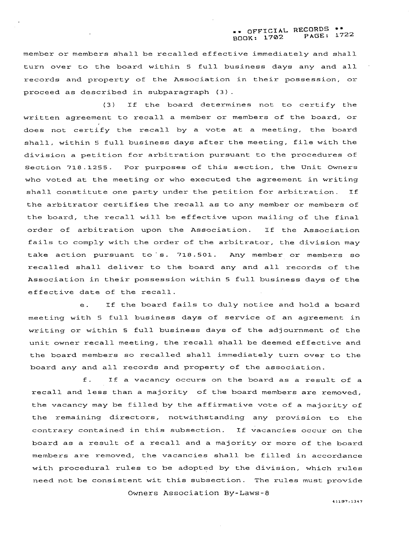member or members shall be recalled effective immediately and shall turn over to the board within *5* full business days any and all records and property of the Association in their possession, or proceed as described in subparagraph (3) .

**(3)** If the board determines not to certify the written agreement to recall a member or members of the board, or does not certify the recall by a vote at a meeting, the board shall, within *5* full business days after the meeting, file with the division a petition for arbitration pursuant to the procedures of Section **718.1255.** For purposes of this section, the Unit Owners who voted at the meeting or who executed the agreement in writing shall constitute one party under the petition for arbitration. If the arbitrator certifies the recall as to any member or members of the board, the recall will be effective upon mailing of the final order of arbitration upon the Association. If the Association fails to comply with the order of the arbitrator, the division may take action pursuant to s. 718.501. Any member or members so recalled shall deliver to the board any and all records of the Association in their possession within **5** full business days of the effective date of the recall.

e. If the board fails to duly notice and hold a board meeting with *5* full business days of service of an agreement in writing or within **5** full business days of the adjournment of the unit owner recall meeting, the recall shall be deemed effective and the board members so recalled shall immediately turn over to the board any and all records and property of the association.

**f.** If a vacancy occurs on the board as a result of a recall and less than a majority of the board members are removed, the vacancy may be filled by the affirmative vote of a majority of the remaining directors, notwithstanding any provision to the contrary contained in this subsection. If vacancies occur on the board as a result of a recall and a majority or more of the board members are removed, the vacancies shall be filled in accordance with procedural rules to be adopted by the division, which rules need not be consistent wit this subsection. The rules must provide

**Owners Association By-Laws-8**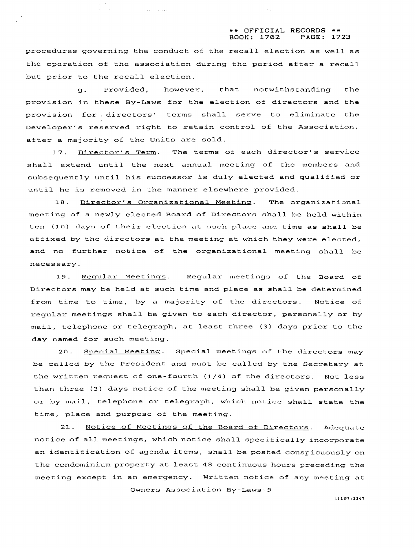### \*\* **OFFICIAL RECORDS** \*\* **BOOK: 1702 PAGE: 1723**

procedures governing the conduct of the recall election as well as the operation of the association during the period after a recall but prior to the recall election.

 $\mathcal{L}^{(1)}$  and  $\mathcal{L}^{(1)}$  are  $\mathcal{L}^{(2)}$  . The set of the set of the  $\mathcal{L}^{(1)}$ 

9. Provided, however, that notwithstanding the provision in these By-Laws for the election of directors and the provision for . directors' terms shall serve to eliminate the Developer's reserved right to retain control of the Association, after a majority of the Units are sold.

17. Director's Term. The terms of each director's service shall extend until the next annual meeting of the members and subsequently until his successor is duly elected and qualified or until he is removed in the manner elsewhere provided.

18. Director's Organizational Meeting. The organizational meeting of a newly elected Board of Directors shall be held within ten (10) days of their election at such place and time as shall be affixed by the directors at the meeting at which they were elected, and no further notice of the organizational meeting shall be necessary.

19. Reqular Meetings. Regular meetings of the Board of Directors may be held at such time and place as shall be determined from time to time, by a majority of the directors. Notice of regular meetings shall be given to each director, personally or by mail, telephone or telegraph, at least three (3) days prior to the day named for such meeting.

20. Special Meeting. Special meetings of the directors may be called by the President and must be called by the Secretary at the written request of one-fourth (1/4) of the directors. Not less than three (3) days notice of the meeting shall be given personally or by mail, telephone or telegraph, which notice shall state the time, place and purpose of the meeting.

21. Notice of Meetings of the Board of Directors. Adequate notice of all meetings, which notice shall specifically incorporate an identification of agenda items, shall be posted conspicuously on the condominium property at least 48 continuous hours preceding the meeting except in an emergency. Written notice of any meeting at Owners Association By-Laws-9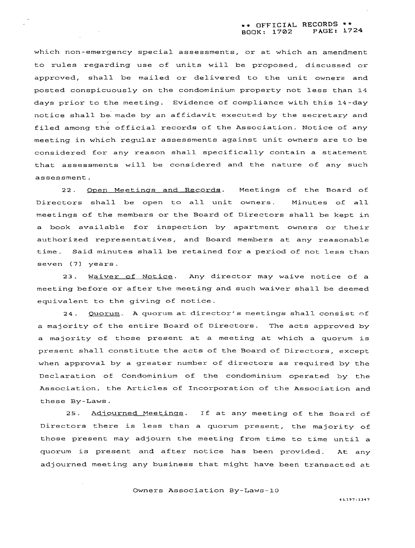which non-emergency special assessments, or at which an amendment to rules regarding use of units will be proposed, discussed or approved, shall be mailed or delivered to the unit owners and posted conspicuously on the condominium property not less than 14 days prior to the meeting. Evidence of compliance with this 14-day notice shall be.made by an affidavit executed by the secretary and filed among the official records of the Association. Notice of any meeting in which regular assessments against unit owners are to be considered for any reason shall specifically contain a statement that assessments will be considered and the nature of any such assessment.

22. Open Meetings and Records. Meetings of the Board of Directors shall be open to all unit owners. Minutes of all meetings of the members or the Board of Directors shall be kept in a book available for inspection by apartment owners or their authorized representatives, and Board members at any reasonable time. Said minutes shall be retained for a period of not less than seven (7) years.

**23.** Waiver of Notice. Any director may waive notice of a meeting before or after the meeting and such waiver shall be deemed equivalent to the giving of notice.

24. Quorum. A quorum at director's meetings shall consist of a majority of the entire Board of Directors. The acts approved by a majority of those present at a meeting at which a quorum is present shall constitute the acts of the Board of Directors, except when approval by a greater number of directors as required by the Declaration of Condominium of the condominium operated by the Association, the Articles of Incorporation of the Association and these By-Laws.

25. Adjourned Meetings. If at any meeting of the Board of Directors there is less than a quorum present, the majority of those present may adjourn the meeting from time to time until a quorum is present and after notice has been provided. At any adjourned meeting any business that might have been transacted at

Owners Association By-Laws-10

 $\sim$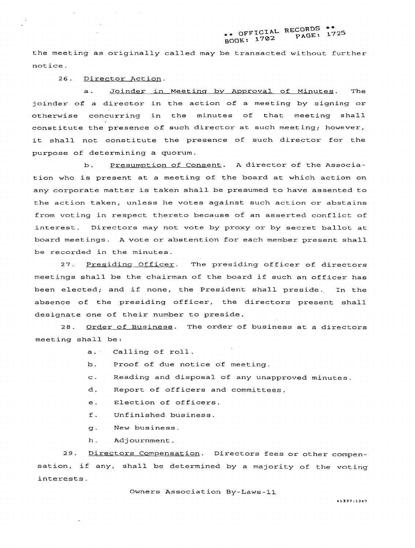# **tt OFFICIAL RECORDS** \*\* **BOOK: 1702 PAGE: 1725**

the meeting as originally called may be transacted without further notice.

26. Director Action.

a. Joinder in Meeting by Approval of Minutes. The joinder of a director in the action of a meeting by signing or otherwise concurring in the minutes of that meeting shall constitute the presence of such director at such meeting; however, it shall not constitute the presence of such director for the purpose of determining a quorum.

b. Presumption of Consent. A director of the Association who is present at a meeting of the board at which action on any corporate matter is taken shall be presumed to have assented to the action taken, unless he votes against such action or abstains from voting in respect thereto because of an asserted conflict of interest. Directors may not vote by proxy or by secret ballot at board meetings. A vote or abstention for each member present shall be recorded in the minutes.

27. Presiding Officer. The presiding officer of directors meetings shall be the chairman of the board if such an officer has been elected; and if none, the President shall preside. In the absence of the presiding officer, the directors present shall designate one of their number to preside.

28. Order of Business. The order of business at a directors meeting shall be:

a. Calling of roll.

b. Proof of due notice of meeting.

- c. Reading and disposal of any unapproved minutes.
- d. Report of officers and committees.
- e. Election of officers.
- f. Unfinished business.
- q. New business.
- h. Adjournment.

**29.** Directors Compensation. Directors fees or other compensation, if any, shall be determined by a majority of the voting interests.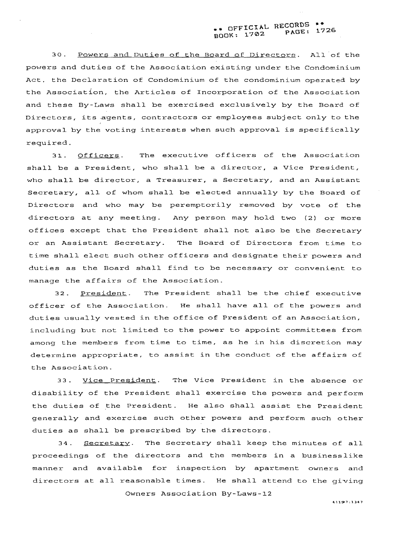## **\*c OFFICIAL RECORDS** \*+ **BOOK: 1702 PAGE: 1726**

30. Powers and Duties of the Board of Directors. All of the powers and duties of the Association existing under the Condominium Act, the Declaration of Condominium of the condominium operated by the Association, the Articles of Incorporation of the Association and these By-Laws shall be exercised exclusively by the Board of Directors, its agents, contractors or employees subject only to the approval by the voting interests when such approval is specifically required.

31. Officers. The executive officers of the Association shall be a President, who shall be a director, a Vice President, who shall be director, a Treasurer, a Secretary, and an Assistant Secretary, all of whom shall be elected annually by the Board of Directors and who may be peremptorily removed by vote of the directors at any meeting. Any person may hold two (2) or more offices except that the President shall not also be the Secretary or an Assistant Secretary. The Board of Directors from time to time shall elect such other officers and designate their powers and duties as the Board shall find to be necessary or convenient to manage the affairs of the Association.

32. President. The President shall be the chief executive officer of the Association. He shall have all of the powers and duties usually vested in the office of President of an Association, including but not limited to the power to appoint committees from among the members from time to time, as he in his discretion may determine appropriate, to assist in the conduct of the affairs of the Association.

33. Vice President. The Vice President in the absence or disability of the President shall exercise the powers and perform the duties of the President. He also shall assist the President generally and exercise such other powers and perform such other duties as shall be prescribed by the directors.

34. **Secretary**. The Secretary shall keep the minutes of all proceedings of the directors and the members in a businesslike manner and available for inspection by apartment owners and directors at all reasonahle times. He shall attend to the giving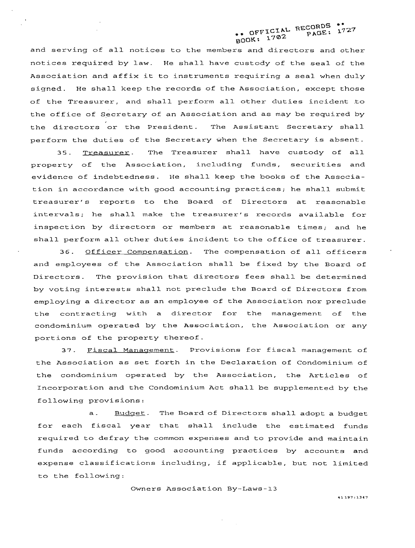# OFFICIAL RECORDS \*\*<br>OK: 1702 PAGE: 1727 BOOK:

and serving of all notices to the members and directors and other notices required by law. He shall have custody of the seal of the Association and affix it to instruments requiring a seal when duly signed. He shall keep the records of the Association, except those of the Treasurer, and shall perform all other duties incident .to the office of Secretary of an Association and as may be required by the directors or the President. The Assistant Secretary shall perform the duties of the Secretary when the Secretary is absent.

35. Treasurer. The Treasurer shall have custody of all property of the Association, including funds, securities and evidence of indebtedness. He shall keep the books of the Association in accordance with good accounting practices; he shall submit treasurer's reports to the Board of Directors at reasonable intervals; he shall make the treasurer's records available for inspection by directors or members at reasonable times; and he shall perform all other duties incident to the office of treasurer.

36. Officer Compensation. The compensation of all officers and employees of the Association shall be fixed by the Board of Directors. The provision that directors fees shall be determined by voting interests shall not preclude the Board of Directors from employing a director as an employee of the Association nor preclude the contracting with a director for the management of the condominium operated by the Association, the Association or any portions of the property thereof.

**37.** Fiscal Manaqement. Provisions for fiscal management of the Association as set forth in the Declaration of Condominium of the condominium operated by the Association, the Articles of Incorporation and the Condominium Act shall be supplemented by the following provisions:

a. Budget. The Board of Directors shall adopt a budget for each fiscal year that shall include the estimated funds required to defray the common expenses and to provide and maintain funds according to good accounting practices by accounts and expense classifications including, if applicable, but not limited to the following:

Owners Association By-Laws-13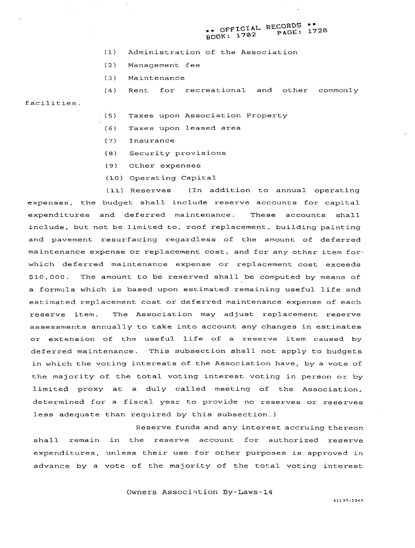# \*\* OFFICIAL RECORDS \*\*<br>PAGE: 1728 **B001<: 1702 PAGE: 1728**

- (1) Administration of the Association
- (2) Management fee
- (3) Maintenance

(4) Rent for recreational and other commonly

(.5) Taxes upon Association Property

- (6) Taxes upon leased area
- (7) Insurance

facilities.

- **(8)** Security provisions
- (9) Other expenses
- (10) Operating Capital

(11) Reserves (In addition to annual operating expenses, the budget shall include reserve accounts for capital expenditures and deferred maintenance. These accounts shall include, but not be limited to, roof replacement, building painting and pavement resurfacing regardless of the amount of deferred maintenance expense or replacement cost, and for any other item for. which deferred maintenance expense or replacement cost exceeds \$10,000. The amount to be reserved shall be computed by means of a formula which is based upon estimated remaining useful life and estimated replacement cost or deferred maintenance expense of each reserve item. The Association may adjust replacement reserve assessments annually to take into account any changes in estimates or extension of the useful life of a reserve item caused by deferred maintenance. This subsection shall not apply to budgets in which the voting interests of the Association have, by a vote of the majority of the total voting interest voting in person or by limited proxy at a duly called meeting of the Association, determined for a fiscal year to provide no reserves or reserves less adequate than required by this subsection.)

Reserve funds and any interest accruing thereon shall remain in the reserve account for authorized reserve expenditures, unless their use for other purposes is approved in advance by a vote of the majority of the total voting interest

Owners **Association By-Laws-14**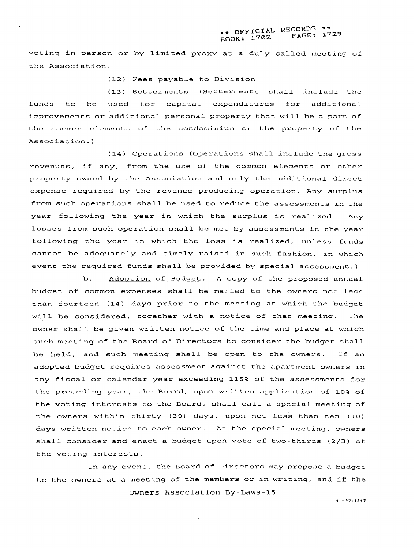## \*\* OFFICIAL RECORDS \*\* **BOOK: 1702 PAGE: 1729**

voting in person or by limited proxy at a duly called meeting of the Association.

(12) Fees payable to Division

(13) Betterments (Betterments shall include the funds to be used for capital expenditures for additional improvements or additional personal property that will be a part of the common elements of the condominium or the property of the Association. )

(14) Operations (Operations shall include the gross revenues, if any, from the use of the common elements or other property owned by the Association and only the additional direct expense required by the revenue producing operation. Any surplus from such operations shall be used to reduce the assessments in the year following the year in which the surplus is realized. Any losses from such operation shall be met by assessments in the year following the year in which the loss is realized, unless funds cannot be adequately and timely raised in such fashion, in which event the required funds shall be provided by special assessment. )

b. Adoption of Budget. A copy of the proposed annual budget of common expenses shall be mailed to the owners not less than fourteen (14) days prior to the meeting at which the budget will be considered, together with a notice of that meeting. The owner shall be given written notice of the time and place at which such meeting of the Board of Directors to consider the budget shall be held, and such meeting shall be open to the owners. If an adopted budget requires assessment against the apartment owners in any fiscal or calendar year exceeding 115% of the assessments for the preceding year, the Board, upon written application of 10% of the voting interests to the Board, shall call a special meeting of the owners within thirty (30) days, upon not less than ten (10) days written notice to each owner. At the special meeting, owners shall consider and enact a budget upon vote of two-thirds (2/3) of the voting interests.

In any event, the Board of Directors may propose a budget to the owners at a meeting of the members or in writing, and if the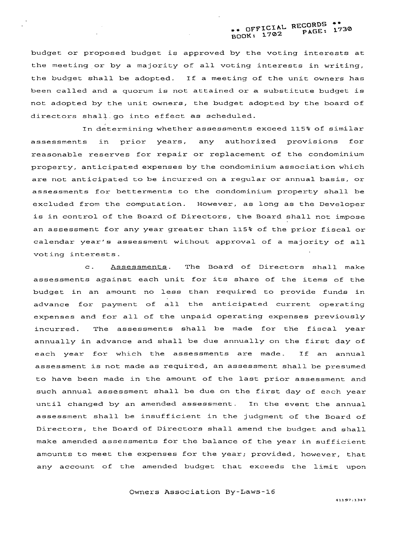budget or proposed budget is approved by the voting interests at the meeting or by a majority of all voting interests in writing, the budget shall be adopted. If a meeting of the unit owners has been called and a quorum is not attained or a substitute budget is not adopted by the unit owners, the budget adopted by the board of directors shall.go into effect as scheduled.

In determining whether assessments exceed 115% of similar assessments in prior years, any authorized provisions for reasonable reserves for repair or replacement of the condominium property, anticipated expenses by the condominium association which are not anticipated to be incurred on a regular or annual basis, or assessments for betterments to the condominium property shall be excluded from the computation. However, as long as the Developer is in control of the Board of Directors, the Board shall not impose an assessment for any year greater than 115% of the prior fiscal or calendar year's assessment without approval of a majority of all voting interests.

c. Assessments. The Board of Directors shall make assessments against each unit for its share of the items of the budget in an amount no less than required to provide funds in advance for payment of all the anticipated current operating expenses and for all of the unpaid operating expenses previously incurred. The assessments shall be made for the fiscal year annually in advance and shall be due annually on the first day of each year for which the assessments are made. If an annual assessment is not made as required, an assessment shall be presumed to have been made in the amount of the last prior assessment and such annual assessment shall be due on the first day of each year until changed by an amended assessment. In the event the annual assessment shall be insufficient in the judgment of the Board of Directors, the Board of Directors shall amend the budget and shall make amended assessments for the balance of the year in sufficient amounts to meet the expenses for the year; provided, however, that any account of the amended budget that exceeds the limit upon

**Owners Association By-Laws-16**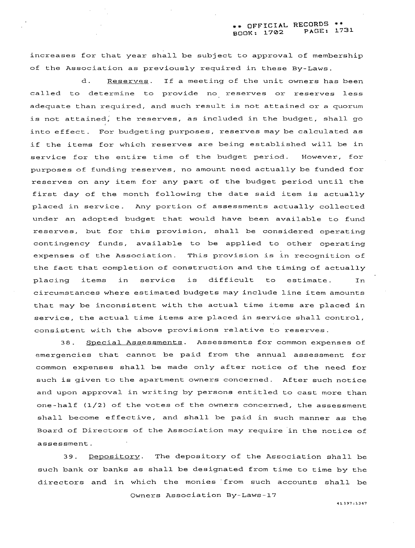increases for that year shall be subject to approval of membership of the Association as previously required in these By-Laws.

d. Reserves. If a meeting of the unit owners has been called to determine to provide no reserves or reserves less adequate than required, and such result is not attained or a quorum is not attained; the reserves, as included in the budget, shall go into effect. For budgeting purposes, reserves may be calculated as if the items for which reserves are being established will be in service for the entire time of the budget period. However, for purposes of funding reserves, no amount need actually be funded for reserves on any item for any part of the budget period until the first day of the month following the date said item is actually placed in service. Any portion of assessments actually collected under an adopted budget that would have been available to fund reserves, but for this provision, shall be considered operating contingency funds, available to be applied to other operating expenses of the Association. This provision is in recognition of the fact that completion of construction and the timing of actually placing items in service is difficult to estimate. In circumstances where estimated budgets may include line item amounts that may be inconsistent with the actual time items are placed in service, the actual time items are placed in service shall control, consistent with the above provisions relative to reserves.

38. Special Assessments. Assessments for common expenses of emergencies that cannot be paid from the annual assessment for common expenses shall be made only after notice of the need for such is given to the apartment owners concerned. After such notice and upon approval in writing by persons entitled to cast more than one-half (1/2) of the votes of the owners concerned, the assessment shall become effective, and shall be paid in such manner as the Board of Directors of the Association may require in the notice of assessment.

**39.** Depositorv. The depository of the Association shall be such bank or banks as shall be designated from time to time by the directors and in which the monies 'from such accounts shall be

Owners Association By-Laws-17

**41197 :I347**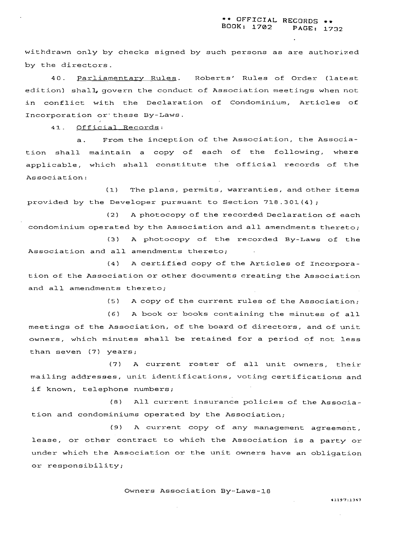withdrawn only by checks signed by such persons as are authorized by the directors.

40. Parliamentary Rules. Roberts' Rules of Order (latest edition) shall, govern the conduct of Association meetings when not in conflict with the Declaration of Condominium, Articles of Incorporation or'these By-laws.

**41.** Official Records:

a. From the inception of the Association, the Association shall maintain a copy of each of the following, where applicable, which shall constitute the official records of the Association:

(1) The plans, permits, warranties, and other items provided by the Developer pursuant to Section 718.301(4);

(2) A photocopy of the recorded Declaration of each condominium operated by the Association and all amendments thereto;

(3) A photocopy of the recorded By-Laws of the Association and all amendments thereto;

**(4)** A certified copy of the Articles of Incorporation of the Association or other documents creating the Association and all amendments thereto;

(5 A copy of the current rules of the Association;

(6) A book or books containing the minutes of all meetings of the Association, of the board of directors, and of unit owners, which minutes shall be retained for a period of not less than seven (7) years;

(7) A current roster of all unit owners, their mailing addresses, unit identifications, voting certifications and if known, telephone numbers;

**(8)** All current insurance policies of the Association and condominiums operated by the Association;

**(9)** A current copy of any management agreement, lease, or other contract to which the Association is a party or under which the Association or the unit owners have an obligation or responsibility;

Owners Association By-Laws-18

 $\mathcal{L}^{\text{max}}$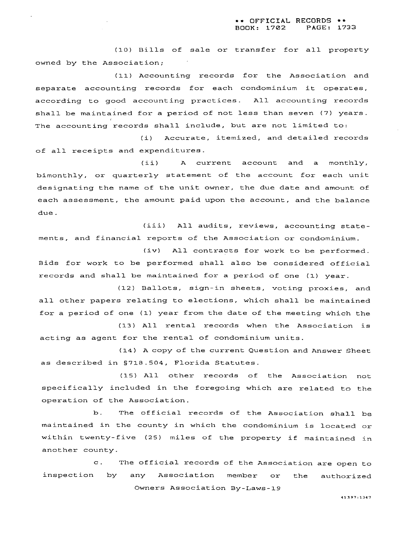(10) Bills of sale or transfer for all property owned by the Association;

(11) Accounting records for the Association and separate accounting records for each condominium it operates, according to good accounting practices. All accounting records shall be maintained for a period of not less than seven (7) years. The accounting records shall include, but are not limited to:

(i) Accurate, itemized, and detailed records of all receipts and expenditures.

(ii) A current account and a monthly, bimonthly, or quarterly statement of the account for each unit designating the name of the unit owner, the due date and amount of each assessment, the amount paid upon the account, and the balance due.

(iii) All audits, reviews, accounting statements, and financial reports of the Association or condominium.

(iv) All contracts for work to be performed. Bids for work to be performed shall also be considered official records and shall be maintained for a period of one (1) year.

(12) Ballots, sign-in sheets, voting proxies, and all other papers relating to elections, which shall be maintained for a period of one (1) year from the date of the meeting which the

(13) All rental records when the Association is acting as agent for the rental of condominium units.

(14) A copy of the current Question and Answer Sheet as described in S718.504, Florida Statutes.

(15) All other records of the Association not specifically included in the foregoing which are related to the operation of the Association.

**b.** The official records of the Association shall be maintained in the county in which the condominium is located or within twenty-five (25) miles of the property if maintained in another county.

c. The official records of the Association are open to inspection by any Association member or the authorized

Owners Association By-Laws-19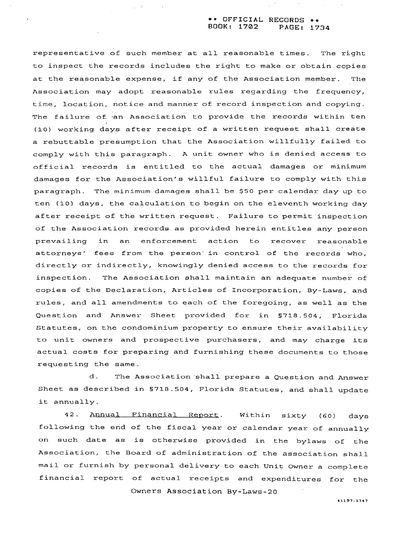### \*\* **OFFICIAL RECORDS** \*\* **BOOK: 1702 PAGE: 1734**

representative of such member at all reasonable times. The right to inspect the records includes the right to make or obtain copies at the reasonable expense, if any of the Association member. The Association may adopt reasonable rules regarding the frequency, time, location, notice and manner of record inspection and copying. The failure of an Association to provide the records within ten **(10)** working days after receipt of a written request shall create a rebuttable presumption that the Association willfully failed to comply with this paragraph. A unit owner who is denied access to official records is entitled to the actual damages or minimum damages for the Association's willful failure to comply with this paragraph. The minimum damages shall be **\$50** per calendar day up to ten **(10)** days, the calculation to begin on the eleventh working day after receipt of the written request. Failure to permit inspection of the Association records as provided herein entitles any person prevailing in an enforcement action to recover reasonable attorneys' fees from the person' in control of the records who, directly or indirectly, knowingly denied access to the records for inspection. The Association shall maintain an adequate number of copies of the Declaration, Articles of Incorporation, By-Laws, and rules, and all amendments to each of the foregoing, as well as the Question and Answer Sheet provided for in **5718.504,** Florida Statutes, on the condominium property to ensure their availability to unit owners and prospective purchasers, and may charge its actual costs for preparing and furnishing these documents to those requesting the same.

 $\alpha_{\rm{max}} = 1000$ 

d. The Association shall prepare a Question and Answer Sheet as described in **5718.504,** Florida Statutes, and shall update it annually.

42. **Annual Financial Report.** Within sixty (60) days following the end of the fiscal year or calendar year of annually on such date as is otherwise provided in the bylaws of the Association, the Board of administration of the association shall mail or furnish by personal delivery to each Unit Owner a complete financial report of actual receipts and expenditures for the **Owners Association By-Laws-20**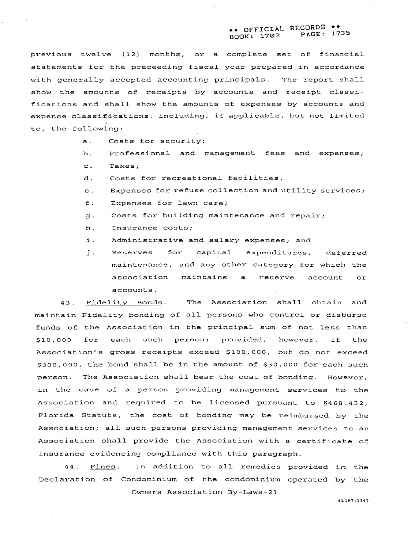### \* OFFICIAL RECORDS \*\*<br>DOK: 1702 PAGE: 1735 **BOOK: 1702 PAGE: 1735**

previous twelve (12) months, or a complete set of financial statements for the preceeding fiscal year prepared in accordance with generally accepted accounting principals. The report shall show the amounts of receipts by accounts and receipt classifications and shall show the amounts of expenses by accounts and expense classifications, including, if applicable, but not limited to, the following:

- a. Costs for security;
- b. Professional and management fees and expenses;
- c. Taxes;
- d. Costs for recreational facilities;
- e. Expenses for refuse collection and utility services;
- f. Expenses for lawn care;
- $g$ . Costs for building maintenance and repair;
- h. Insurance costs;
- i. Administrative and salary expenses; and
- i. Reserves for capital expenditures, deferred maintenance, and any other category for which the association maintains a reserve account or accounts.

43. Fidelity Bonds. The Association shall obtain and maintain Fidelity bonding of all persons who control or disburse funds of the Association in the principal sum of not less than \$10,000 for each such person; provided, however, if the Association's gross receipts exceed \$100,000, but do not exceed \$300,000, the bond shall be in the amount of \$30,000 for each such person. The Association shall bear the cost of bonding. However, in the case of a person providing management services to the Association and required to be licensed pursuant to **S468.432,**  Florida Statute, the cost of bonding may be reimbursed by the Association; all such persons providing management services to an Association shall provide the Association with a certificate of insurance evidencing compliance with this paragraph.

44. Fines. In addition to all remedies provided in the Declaration of Condominium of the condominium operated by the Owners Association By-Laws-21

**41197 :I347**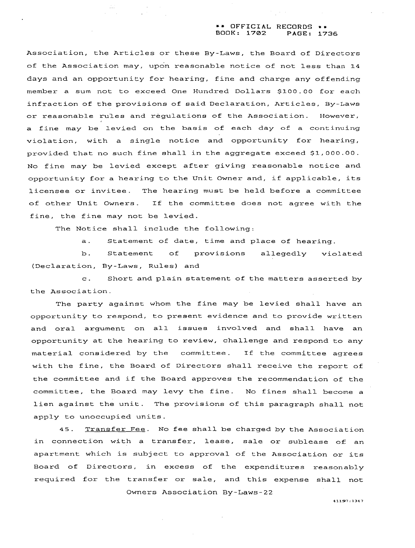### \*+ **OFFICIAL RECORDS** \*\* **BOOK: 1702 PAGE: 1736**

Association, the Articles or these By-Laws, the Board of Directors of the Association may, upon reasonable notice of not less than **14**  days and an opportunity for hearing, fine and charge any offending member a sum not to exceed One Hundred Dollars **\$100.00** for each in£ raction of the provisions of said Declaration, Articles, By-Laws or reasonable rules and regulations of the Association. However, a fine may be levied on the basis of each day of a continuing violation, with a single notice and opportunity for hearing, provided that no such fine shall in the aggregate exceed **\$1,000.00.**  No fine may be levied except after giving reasonable notice and opportunity for a hearing to the Unit Owner and, if applicable, its licensee or invitee. The hearing must be held before a committee of other Unit Owners. If the committee does not agree with the fine, the fine may not be levied.

The Notice shall include the following:

a. Statement of date, time and place of hearing.

b. Statement of provisions allegedly violated (Declaration, By-Laws, Rules) and

c. Short and plain statement of the matters asserted by the Association.

The party against whom the fine may be levied shall have an opportunity to respond, to present evidence and to provide written and oral argument on all issues involved and shall have an opportunity at the hearing to review, challenge and respond to any material considered by the committee. If the committee agrees with the fine, the Board of Directors shall receive the report of the committee and if the Board approves the recommendation of the committee, the Board may levy the fine. No fines shall become a lien against the unit. The provisions of this paragraph shall not apply to unoccupied units.

45. Transfer Fee. No fee shall be charged by the Association in connection with a transfer, lease, sale or sublease of an apartment which is subject to approval of the Association or its Board of Directors, in excess of the expenditures reasonably required for the transfer or sale, and this expense shall not Owners Association By-Laws-22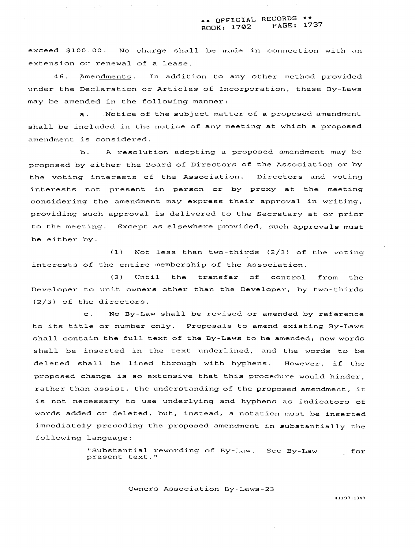### \*\* OFFICIAL RECORDS \*\*<br>pook: 1702 PAGE: 1737 **BOOK: 1702 PAGE: 1737**

exceed **\$100.00.** No charge shall be made in connection with an extension or renewal of a lease.

 $\chi=2.2$ 

**46.** Amendments. In addition to any other method provided under the Declaration or Articles of Incorporation, these By-Laws may be amended in the following manner:

a. .Notice of the subject matter of a proposed amendment shall be included in the notice of any meeting at which a proposed amendment is considered.

b. **A** resolution adopting a proposed amendment may be proposed by either the Board of Directors of the Association or by the voting interests of the Association. Directors and voting interests not present in person or by proxy at the meeting considering the amendment may express their approval in writing, providing such approval is delivered to the Secretary at or prior to the meeting. Except as elsewhere provided, such approvals must be either by:

(1.) Not less than two-thirds **(2/3)** of the voting interests of the entire membership of the Association.

(2) Until the transfer of control from the Developer to unit owners other than the Developer, by two-thirds (2/3) of the directors.

c. No By-Law shall be revised or amended by reference to its title or number only. Proposals to amend existing By-Laws shall contain the full text of the By-Laws to be amended; new words shall be inserted in the text underlined, and the words to be deleted shall be lined through with hyphens. However, if the proposed change is so extensive that this procedure would hinder, rather than assist, the understanding of the proposed amendment, it is not necessary to use underlying and hyphens as indicators of words added or deleted, but, instead, a notation must be inserted immediately preceding the propoeed amendment in substantially the following language:

> "Substantial rewording of By-Law. See By-Law \_\_\_\_\_\_ for present text. "

> > Owners Association By-Laws-23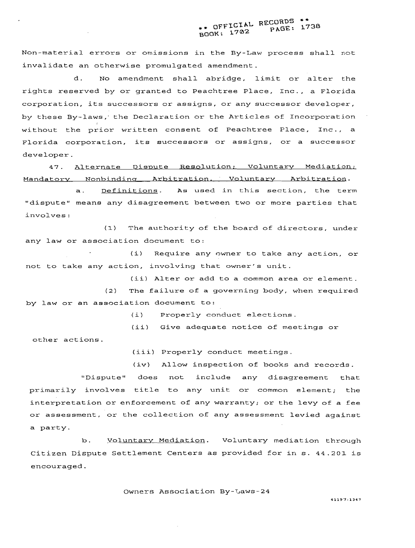# \*\* OFFICIAL RECORDS \*\* **BOOK: 1702 PAGE: 1738**

Non-material errors or omissions in the By-Law process shall not invalidate an otherwise promulgated amendment.

d. No amendment shall abridge, limit or alter the rights reserved by or granted to Peachtree Place, Inc., a Florida corporation, its successors or assigns, or any successor developer, by these By-laws; the Declaration or the Articles of Incorporation . without the prior written consent of Peachtree Place, Inc., a Florida corporation, its successors or assigns, or a successor developer.

47. Alternate Dispute Resolution; Voluntary Mediation; Mandatory Nonbinding Arbitration, Voluntary Arbitration.

a. Definitions. As used in this section, the term "dispute" means any disagreement between two or more parties that involves :

**(1)** The authority of the board of directors, under any law or association document to:

(i) Require any owner to take any action, or not to take any action, involving that owner's unit.

(ii) Alter or add to a common area or element.

**(2)** The failure of a governing body, when required by law or an association document to:

(i) Properly conduct elections.

(ii) Give adequate notice of meetings or

other actions.

(iii) Properly conduct meetings.

(iv) Allow inspection of books and records.

"Dispute" does not include any disagreement that primarily involves title to any unit or common element; the interpretation or enforcement of any warranty; or the levy of a fee or assessment, or the collection of any assessment levied against a party.

b. Voluntary Mediation. Voluntary mediation through Citizen Dispute Settlement Centers as provided for in s. 44.201 is encouraged.

Owners Association By-Laws-24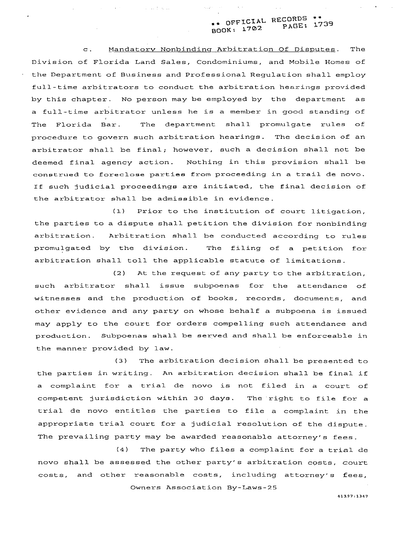# \*\* **OFFICIAL RECORDS** \*\* **BOOK: 1702 PAGE: 1739**

c. Mandatorv Nonbindinq Arbitration Of Disputes. The Division of Florida Land Sales, Condominiums, and Mobile Homes of the Department of Business and Professional Regulation shall employ full-time arbitrators to conduct the arbitration hearings provided by this chapter. No person may be employed by the department as a full-time arbitrator unless he is a member in good standing of The Florida Bar. The department shall promulgate rules of procedure to govern such arbitration hearings. The decision of an arbitrator shall be final; however, such a decision shall not be deemed final agency action. Nothing in this provision shall be construed to foreclose parties from proceeding in a trail de novo. If such judicial proceedings are initiated, the final decision of the arbitrator shall be admissible in evidence.

sa sa tsala.

**(1)** Prior to the institution of court litigation, the parties to a dispute shall petition the division for nonbinding arbitration. Arbitration shall be conducted according to rules promulgated by the division. The filing of a petition for arbitration shall toll the applicable statute of limitations.

(2) At the request of any party to the arbitration, such arbitrator shall issue subpoenas for the attendance of witnesses and the production of books, records, documents, and other evidence and any party on whose behalf a subpoena is issued may apply to the court for orders compelling such attendance and production. Subpoenas shall be served and shall be enforceable in the manner provided by law.

**(3)** The arbitration decision shall be presented to the parties in writing. An arbitration decision shall be final if a complaint for a trial de novo is not filed in a court of competent jurisdiction within **30** days. The right to file for a trial de novo entitles the parties to file a complaint in the appropriate trial court for a judicial resolution of the dispute. The prevailing party may be awarded reasonable attorney's fees.

(4) The party who files a complaint for a trial de novo shall be assessed the other party's arbitration costs, court costs, and other reasonable costs, including attorney's fees, Owners Association By-Laws-25